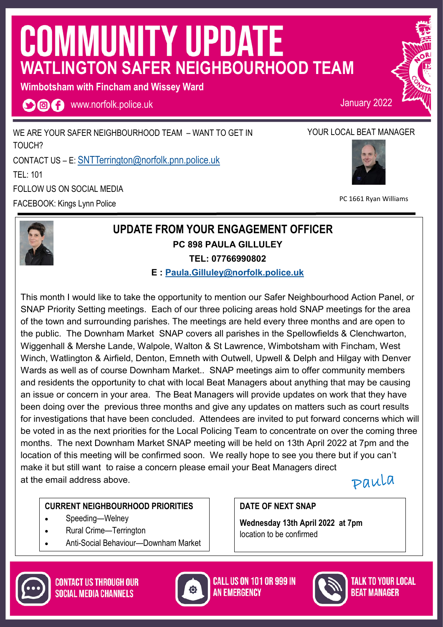# **COMMUNITY UPDATE WATLINGTON SAFER NEIGHBOURHOOD TEAM**

**Wimbotsham with Fincham and Wissey Ward** 

**OOO** www.norfolk.police.uk

WE ARE YOUR SAFER NEIGHBOURHOOD TEAM – WANT TO GET IN TOUCH? CONTACT US – E: [SNTTerrington@norfolk.pnn.police.uk](mailto:SNTDownhamMarket@norfolk.pnn.police.uk) TEL: 101 FOLLOW US ON SOCIAL MEDIA FACEBOOK: Kings Lynn Police

## YOUR LOCAL BEAT MANAGER

January 2022



PC 1661 Ryan Williams



### **UPDATE FROM YOUR ENGAGEMENT OFFICER PC 898 PAULA GILLULEY TEL: 07766990802**

**E : [Paula.Gilluley@norfolk.police.uk](mailto:Paula.Gilluley@norfolk.pnn.police.uk)**

This month I would like to take the opportunity to mention our Safer Neighbourhood Action Panel, or SNAP Priority Setting meetings. Each of our three policing areas hold SNAP meetings for the area of the town and surrounding parishes. The meetings are held every three months and are open to the public. The Downham Market SNAP covers all parishes in the Spellowfields & Clenchwarton, Wiggenhall & Mershe Lande, Walpole, Walton & St Lawrence, Wimbotsham with Fincham, West Winch, Watlington & Airfield, Denton, Emneth with Outwell, Upwell & Delph and Hilgay with Denver Wards as well as of course Downham Market.. SNAP meetings aim to offer community members and residents the opportunity to chat with local Beat Managers about anything that may be causing an issue or concern in your area. The Beat Managers will provide updates on work that they have been doing over the previous three months and give any updates on matters such as court results for investigations that have been concluded. Attendees are invited to put forward concerns which will be voted in as the next priorities for the Local Policing Team to concentrate on over the coming three months. The next Downham Market SNAP meeting will be held on 13th April 2022 at 7pm and the location of this meeting will be confirmed soon. We really hope to see you there but if you can't make it but still want to raise a concern please email your Beat Managers direct at the email address above.

paula

#### **CURRENT NEIGHBOURHOOD PRIORITIES**

- Speeding—Welney
- Rural Crime—Terrington
- Anti-Social Behaviour—Downham Market

**DATE OF NEXT SNAP** 

**Wednesday 13th April 2022 at 7pm**  location to be confirmed





**CALL US ON 101 OR 999 IN AN EMERGENCY** 



TALK TO YOUR LOCAL *Reat Manager*